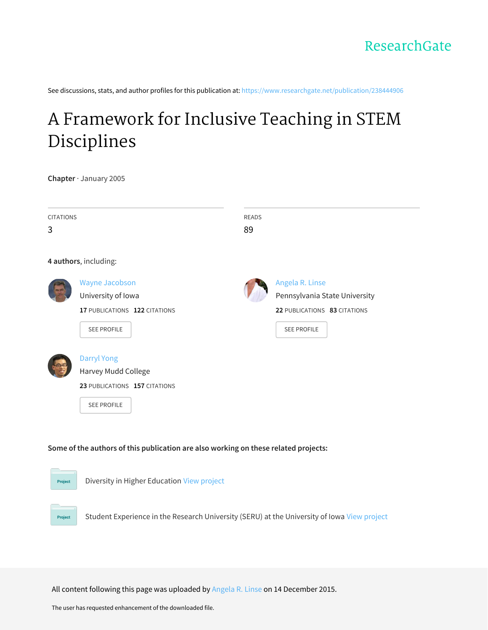See discussions, stats, and author profiles for this publication at: [https://www.researchgate.net/publication/238444906](https://www.researchgate.net/publication/238444906_A_Framework_for_Inclusive_Teaching_in_STEM_Disciplines?enrichId=rgreq-586016b65807ab1b26eebd52aad9d36d-XXX&enrichSource=Y292ZXJQYWdlOzIzODQ0NDkwNjtBUzozMDYzODM0NDUwMDQyODhAMTQ1MDA1ODkxMzEyNw%3D%3D&el=1_x_2&_esc=publicationCoverPdf)

# A [Framework](https://www.researchgate.net/publication/238444906_A_Framework_for_Inclusive_Teaching_in_STEM_Disciplines?enrichId=rgreq-586016b65807ab1b26eebd52aad9d36d-XXX&enrichSource=Y292ZXJQYWdlOzIzODQ0NDkwNjtBUzozMDYzODM0NDUwMDQyODhAMTQ1MDA1ODkxMzEyNw%3D%3D&el=1_x_3&_esc=publicationCoverPdf) for Inclusive Teaching in STEM Disciplines

**Chapter** · January 2005

**Contract** 

 $\overline{\phantom{a}}$ 

| <b>CITATIONS</b><br>3 |                                                                                                    | <b>READS</b><br>89                                                                                     |  |
|-----------------------|----------------------------------------------------------------------------------------------------|--------------------------------------------------------------------------------------------------------|--|
|                       | 4 authors, including:                                                                              |                                                                                                        |  |
|                       | <b>Wayne Jacobson</b><br>University of Iowa<br>17 PUBLICATIONS 122 CITATIONS<br><b>SEE PROFILE</b> | Angela R. Linse<br>Pennsylvania State University<br>22 PUBLICATIONS 83 CITATIONS<br><b>SEE PROFILE</b> |  |
|                       | <b>Darryl Yong</b><br>Harvey Mudd College<br>23 PUBLICATIONS 157 CITATIONS<br><b>SEE PROFILE</b>   |                                                                                                        |  |
|                       | Some of the authors of this publication are also working on these related projects:                |                                                                                                        |  |

| Project | Diversity in Higher Education View project                                                  |
|---------|---------------------------------------------------------------------------------------------|
|         |                                                                                             |
| Project | Student Experience in the Research University (SERU) at the University of Iowa View project |
|         |                                                                                             |

All content following this page was uploaded by [Angela](https://www.researchgate.net/profile/Angela_Linse3?enrichId=rgreq-586016b65807ab1b26eebd52aad9d36d-XXX&enrichSource=Y292ZXJQYWdlOzIzODQ0NDkwNjtBUzozMDYzODM0NDUwMDQyODhAMTQ1MDA1ODkxMzEyNw%3D%3D&el=1_x_10&_esc=publicationCoverPdf) R. Linse on 14 December 2015.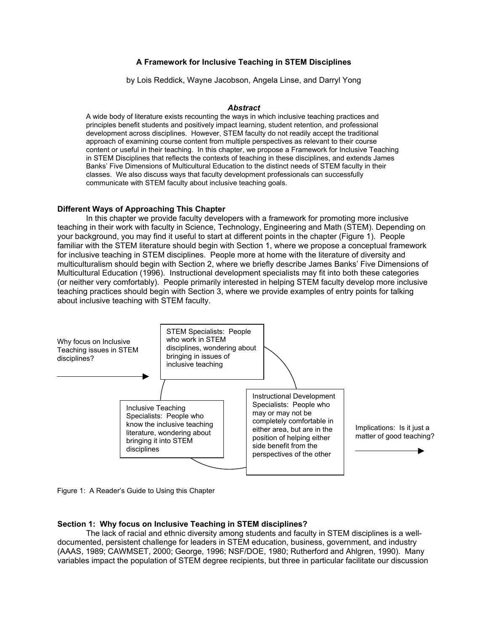## **A Framework for Inclusive Teaching in STEM Disciplines**

by Lois Reddick, Wayne Jacobson, Angela Linse, and Darryl Yong

## *Abstract*

A wide body of literature exists recounting the ways in which inclusive teaching practices and principles benefit students and positively impact learning, student retention, and professional development across disciplines. However, STEM faculty do not readily accept the traditional approach of examining course content from multiple perspectives as relevant to their course content or useful in their teaching. In this chapter, we propose a Framework for Inclusive Teaching in STEM Disciplines that reflects the contexts of teaching in these disciplines, and extends James Banks' Five Dimensions of Multicultural Education to the distinct needs of STEM faculty in their classes. We also discuss ways that faculty development professionals can successfully communicate with STEM faculty about inclusive teaching goals.

## **Different Ways of Approaching This Chapter**

In this chapter we provide faculty developers with a framework for promoting more inclusive teaching in their work with faculty in Science, Technology, Engineering and Math (STEM). Depending on your background, you may find it useful to start at different points in the chapter (Figure 1). People familiar with the STEM literature should begin with Section 1, where we propose a conceptual framework for inclusive teaching in STEM disciplines. People more at home with the literature of diversity and multiculturalism should begin with Section 2, where we briefly describe James Banks' Five Dimensions of Multicultural Education (1996). Instructional development specialists may fit into both these categories (or neither very comfortably). People primarily interested in helping STEM faculty develop more inclusive teaching practices should begin with Section 3, where we provide examples of entry points for talking about inclusive teaching with STEM faculty.



Figure 1: A Reader's Guide to Using this Chapter

## **Section 1: Why focus on Inclusive Teaching in STEM disciplines?**

The lack of racial and ethnic diversity among students and faculty in STEM disciplines is a welldocumented, persistent challenge for leaders in STEM education, business, government, and industry (AAAS, 1989; CAWMSET, 2000; George, 1996; NSF/DOE, 1980; Rutherford and Ahlgren, 1990). Many variables impact the population of STEM degree recipients, but three in particular facilitate our discussion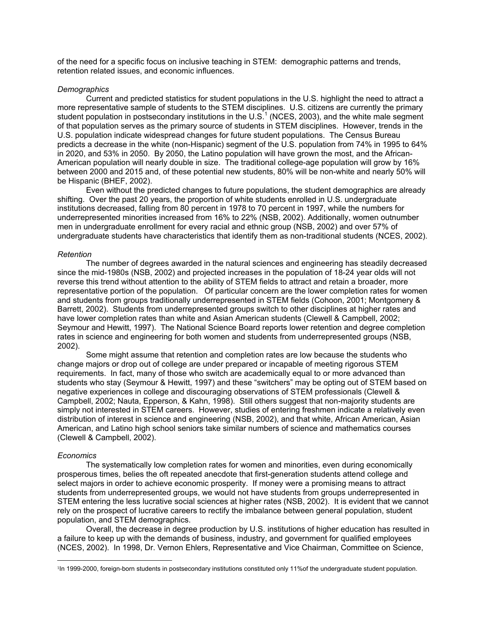of the need for a specific focus on inclusive teaching in STEM: demographic patterns and trends, retention related issues, and economic influences.

## *Demographics*

Current and predicted statistics for student populations in the U.S. highlight the need to attract a more representative sample of students to the STEM disciplines. U.S. citizens are currently the primary student population in postsecondary institutions in the U.S.<sup>[1](#page-2-0)</sup> (NCES, 2003), and the white male segment of that population serves as the primary source of students in STEM disciplines. However, trends in the U.S. population indicate widespread changes for future student populations. The Census Bureau predicts a decrease in the white (non-Hispanic) segment of the U.S. population from 74% in 1995 to 64% in 2020, and 53% in 2050. By 2050, the Latino population will have grown the most, and the African-American population will nearly double in size. The traditional college-age population will grow by 16% between 2000 and 2015 and, of these potential new students, 80% will be non-white and nearly 50% will be Hispanic (BHEF, 2002).

Even without the predicted changes to future populations, the student demographics are already shifting. Over the past 20 years, the proportion of white students enrolled in U.S. undergraduate institutions decreased, falling from 80 percent in 1978 to 70 percent in 1997, while the numbers for underrepresented minorities increased from 16% to 22% (NSB, 2002). Additionally, women outnumber men in undergraduate enrollment for every racial and ethnic group (NSB, 2002) and over 57% of undergraduate students have characteristics that identify them as non-traditional students (NCES, 2002).

#### *Retention*

The number of degrees awarded in the natural sciences and engineering has steadily decreased since the mid-1980s (NSB, 2002) and projected increases in the population of 18-24 year olds will not reverse this trend without attention to the ability of STEM fields to attract and retain a broader, more representative portion of the population. Of particular concern are the lower completion rates for women and students from groups traditionally underrepresented in STEM fields (Cohoon, 2001; Montgomery & Barrett, 2002). Students from underrepresented groups switch to other disciplines at higher rates and have lower completion rates than white and Asian American students (Clewell & Campbell, 2002; Seymour and Hewitt, 1997). The National Science Board reports lower retention and degree completion rates in science and engineering for both women and students from underrepresented groups (NSB, 2002).

Some might assume that retention and completion rates are low because the students who change majors or drop out of college are under prepared or incapable of meeting rigorous STEM requirements. In fact, many of those who switch are academically equal to or more advanced than students who stay (Seymour & Hewitt, 1997) and these "switchers" may be opting out of STEM based on negative experiences in college and discouraging observations of STEM professionals (Clewell & Campbell, 2002; Nauta, Epperson, & Kahn, 1998). Still others suggest that non-majority students are simply not interested in STEM careers. However, studies of entering freshmen indicate a relatively even distribution of interest in science and engineering (NSB, 2002), and that white, African American, Asian American, and Latino high school seniors take similar numbers of science and mathematics courses (Clewell & Campbell, 2002).

## *Economics*

 $\overline{a}$ 

The systematically low completion rates for women and minorities, even during economically prosperous times, belies the oft repeated anecdote that first-generation students attend college and select majors in order to achieve economic prosperity. If money were a promising means to attract students from underrepresented groups, we would not have students from groups underrepresented in STEM entering the less lucrative social sciences at higher rates (NSB, 2002). It is evident that we cannot rely on the prospect of lucrative careers to rectify the imbalance between general population, student population, and STEM demographics.

Overall, the decrease in degree production by U.S. institutions of higher education has resulted in a failure to keep up with the demands of business, industry, and government for qualified employees (NCES, 2002). In 1998, Dr. Vernon Ehlers, Representative and Vice Chairman, Committee on Science,

<span id="page-2-0"></span><sup>1</sup>In 1999-2000, foreign-born students in postsecondary institutions constituted only 11%of the undergraduate student population.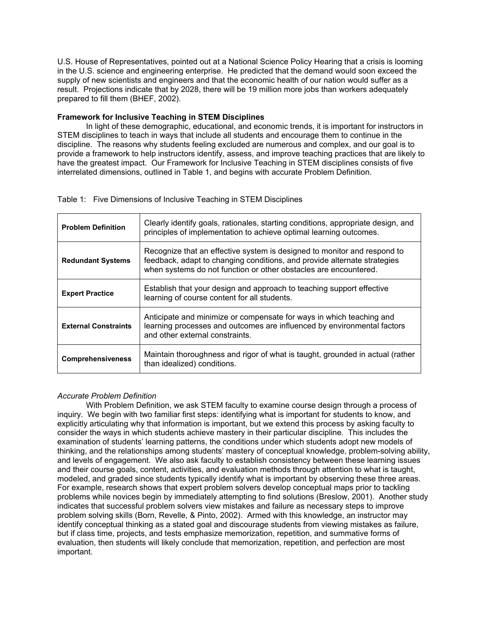U.S. House of Representatives, pointed out at a National Science Policy Hearing that a crisis is looming in the U.S. science and engineering enterprise. He predicted that the demand would soon exceed the supply of new scientists and engineers and that the economic health of our nation would suffer as a result. Projections indicate that by 2028, there will be 19 million more jobs than workers adequately prepared to fill them (BHEF, 2002).

## **Framework for Inclusive Teaching in STEM Disciplines**

In light of these demographic, educational, and economic trends, it is important for instructors in STEM disciplines to teach in ways that include all students and encourage them to continue in the discipline. The reasons why students feeling excluded are numerous and complex, and our goal is to provide a framework to help instructors identify, assess, and improve teaching practices that are likely to have the greatest impact. Our Framework for Inclusive Teaching in STEM disciplines consists of five interrelated dimensions, outlined in Table 1, and begins with accurate Problem Definition.

Table 1: Five Dimensions of Inclusive Teaching in STEM Disciplines

| <b>Problem Definition</b>   | Clearly identify goals, rationales, starting conditions, appropriate design, and<br>principles of implementation to achieve optimal learning outcomes.                                                                   |
|-----------------------------|--------------------------------------------------------------------------------------------------------------------------------------------------------------------------------------------------------------------------|
| <b>Redundant Systems</b>    | Recognize that an effective system is designed to monitor and respond to<br>feedback, adapt to changing conditions, and provide alternate strategies<br>when systems do not function or other obstacles are encountered. |
| <b>Expert Practice</b>      | Establish that your design and approach to teaching support effective<br>learning of course content for all students.                                                                                                    |
| <b>External Constraints</b> | Anticipate and minimize or compensate for ways in which teaching and<br>learning processes and outcomes are influenced by environmental factors<br>and other external constraints.                                       |
| <b>Comprehensiveness</b>    | Maintain thoroughness and rigor of what is taught, grounded in actual (rather<br>than idealized) conditions.                                                                                                             |

# *Accurate Problem Definition*

With Problem Definition, we ask STEM faculty to examine course design through a process of inquiry. We begin with two familiar first steps: identifying what is important for students to know, and explicitly articulating why that information is important, but we extend this process by asking faculty to consider the ways in which students achieve mastery in their particular discipline. This includes the examination of students' learning patterns, the conditions under which students adopt new models of thinking, and the relationships among students' mastery of conceptual knowledge, problem-solving ability, and levels of engagement. We also ask faculty to establish consistency between these learning issues and their course goals, content, activities, and evaluation methods through attention to what is taught, modeled, and graded since students typically identify what is important by observing these three areas. For example, research shows that expert problem solvers develop conceptual maps prior to tackling problems while novices begin by immediately attempting to find solutions (Breslow, 2001). Another study indicates that successful problem solvers view mistakes and failure as necessary steps to improve problem solving skills (Born, Revelle, & Pinto, 2002). Armed with this knowledge, an instructor may identify conceptual thinking as a stated goal and discourage students from viewing mistakes as failure, but if class time, projects, and tests emphasize memorization, repetition, and summative forms of evaluation, then students will likely conclude that memorization, repetition, and perfection are most important.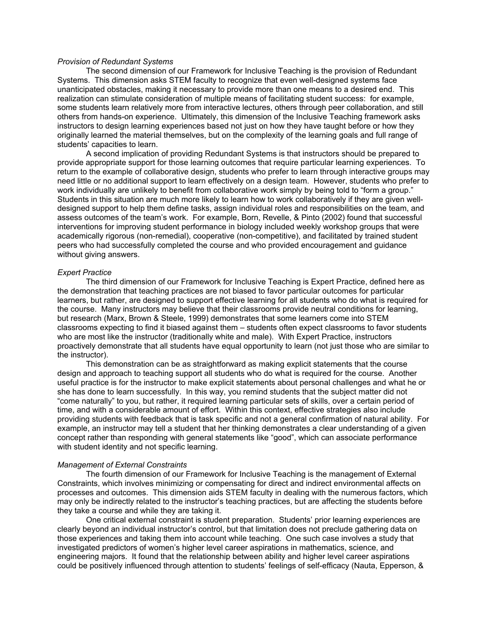## *Provision of Redundant Systems*

The second dimension of our Framework for Inclusive Teaching is the provision of Redundant Systems. This dimension asks STEM faculty to recognize that even well-designed systems face unanticipated obstacles, making it necessary to provide more than one means to a desired end. This realization can stimulate consideration of multiple means of facilitating student success: for example, some students learn relatively more from interactive lectures, others through peer collaboration, and still others from hands-on experience. Ultimately, this dimension of the Inclusive Teaching framework asks instructors to design learning experiences based not just on how they have taught before or how they originally learned the material themselves, but on the complexity of the learning goals and full range of students' capacities to learn.

A second implication of providing Redundant Systems is that instructors should be prepared to provide appropriate support for those learning outcomes that require particular learning experiences. To return to the example of collaborative design, students who prefer to learn through interactive groups may need little or no additional support to learn effectively on a design team. However, students who prefer to work individually are unlikely to benefit from collaborative work simply by being told to "form a group." Students in this situation are much more likely to learn how to work collaboratively if they are given welldesigned support to help them define tasks, assign individual roles and responsibilities on the team, and assess outcomes of the team's work. For example, Born, Revelle, & Pinto (2002) found that successful interventions for improving student performance in biology included weekly workshop groups that were academically rigorous (non-remedial), cooperative (non-competitive), and facilitated by trained student peers who had successfully completed the course and who provided encouragement and guidance without giving answers.

## *Expert Practice*

The third dimension of our Framework for Inclusive Teaching is Expert Practice, defined here as the demonstration that teaching practices are not biased to favor particular outcomes for particular learners, but rather, are designed to support effective learning for all students who do what is required for the course. Many instructors may believe that their classrooms provide neutral conditions for learning, but research (Marx, Brown & Steele, 1999) demonstrates that some learners come into STEM classrooms expecting to find it biased against them – students often expect classrooms to favor students who are most like the instructor (traditionally white and male). With Expert Practice, instructors proactively demonstrate that all students have equal opportunity to learn (not just those who are similar to the instructor).

This demonstration can be as straightforward as making explicit statements that the course design and approach to teaching support all students who do what is required for the course. Another useful practice is for the instructor to make explicit statements about personal challenges and what he or she has done to learn successfully. In this way, you remind students that the subject matter did not "come naturally" to you, but rather, it required learning particular sets of skills, over a certain period of time, and with a considerable amount of effort. Within this context, effective strategies also include providing students with feedback that is task specific and not a general confirmation of natural ability. For example, an instructor may tell a student that her thinking demonstrates a clear understanding of a given concept rather than responding with general statements like "good", which can associate performance with student identity and not specific learning.

#### *Management of External Constraints*

The fourth dimension of our Framework for Inclusive Teaching is the management of External Constraints, which involves minimizing or compensating for direct and indirect environmental affects on processes and outcomes. This dimension aids STEM faculty in dealing with the numerous factors, which may only be indirectly related to the instructor's teaching practices, but are affecting the students before they take a course and while they are taking it.

One critical external constraint is student preparation. Students' prior learning experiences are clearly beyond an individual instructor's control, but that limitation does not preclude gathering data on those experiences and taking them into account while teaching. One such case involves a study that investigated predictors of women's higher level career aspirations in mathematics, science, and engineering majors. It found that the relationship between ability and higher level career aspirations could be positively influenced through attention to students' feelings of self-efficacy (Nauta, Epperson, &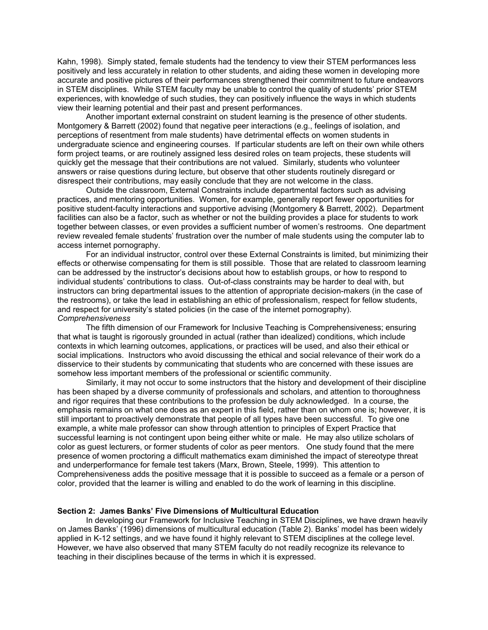Kahn, 1998). Simply stated, female students had the tendency to view their STEM performances less positively and less accurately in relation to other students, and aiding these women in developing more accurate and positive pictures of their performances strengthened their commitment to future endeavors in STEM disciplines. While STEM faculty may be unable to control the quality of students' prior STEM experiences, with knowledge of such studies, they can positively influence the ways in which students view their learning potential and their past and present performances.

Another important external constraint on student learning is the presence of other students. Montgomery & Barrett (2002) found that negative peer interactions (e.g., feelings of isolation, and perceptions of resentment from male students) have detrimental effects on women students in undergraduate science and engineering courses. If particular students are left on their own while others form project teams, or are routinely assigned less desired roles on team projects, these students will quickly get the message that their contributions are not valued. Similarly, students who volunteer answers or raise questions during lecture, but observe that other students routinely disregard or disrespect their contributions, may easily conclude that they are not welcome in the class.

Outside the classroom, External Constraints include departmental factors such as advising practices, and mentoring opportunities. Women, for example, generally report fewer opportunities for positive student-faculty interactions and supportive advising (Montgomery & Barrett, 2002). Department facilities can also be a factor, such as whether or not the building provides a place for students to work together between classes, or even provides a sufficient number of women's restrooms. One department review revealed female students' frustration over the number of male students using the computer lab to access internet pornography.

For an individual instructor, control over these External Constraints is limited, but minimizing their effects or otherwise compensating for them is still possible. Those that are related to classroom learning can be addressed by the instructor's decisions about how to establish groups, or how to respond to individual students' contributions to class. Out-of-class constraints may be harder to deal with, but instructors can bring departmental issues to the attention of appropriate decision-makers (in the case of the restrooms), or take the lead in establishing an ethic of professionalism, respect for fellow students, and respect for university's stated policies (in the case of the internet pornography). *Comprehensiveness*

The fifth dimension of our Framework for Inclusive Teaching is Comprehensiveness; ensuring that what is taught is rigorously grounded in actual (rather than idealized) conditions, which include contexts in which learning outcomes, applications, or practices will be used, and also their ethical or social implications. Instructors who avoid discussing the ethical and social relevance of their work do a disservice to their students by communicating that students who are concerned with these issues are somehow less important members of the professional or scientific community.

Similarly, it may not occur to some instructors that the history and development of their discipline has been shaped by a diverse community of professionals and scholars, and attention to thoroughness and rigor requires that these contributions to the profession be duly acknowledged. In a course, the emphasis remains on what one does as an expert in this field, rather than on whom one is; however, it is still important to proactively demonstrate that people of all types have been successful. To give one example, a white male professor can show through attention to principles of Expert Practice that successful learning is not contingent upon being either white or male. He may also utilize scholars of color as guest lecturers, or former students of color as peer mentors. One study found that the mere presence of women proctoring a difficult mathematics exam diminished the impact of stereotype threat and underperformance for female test takers (Marx, Brown, Steele, 1999). This attention to Comprehensiveness adds the positive message that it is possible to succeed as a female or a person of color, provided that the learner is willing and enabled to do the work of learning in this discipline.

## **Section 2: James Banks' Five Dimensions of Multicultural Education**

In developing our Framework for Inclusive Teaching in STEM Disciplines, we have drawn heavily on James Banks' (1996) dimensions of multicultural education (Table 2). Banks' model has been widely applied in K-12 settings, and we have found it highly relevant to STEM disciplines at the college level. However, we have also observed that many STEM faculty do not readily recognize its relevance to teaching in their disciplines because of the terms in which it is expressed.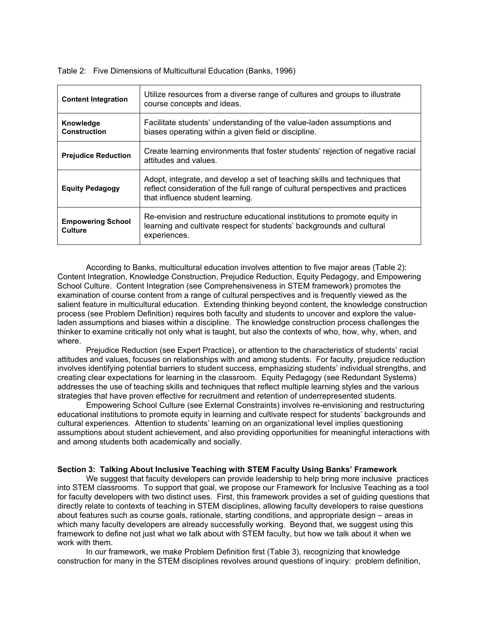Table 2: Five Dimensions of Multicultural Education (Banks, 1996)

| <b>Content Integration</b>                 | Utilize resources from a diverse range of cultures and groups to illustrate<br>course concepts and ideas.                                                                                        |
|--------------------------------------------|--------------------------------------------------------------------------------------------------------------------------------------------------------------------------------------------------|
| Knowledge<br><b>Construction</b>           | Facilitate students' understanding of the value-laden assumptions and<br>biases operating within a given field or discipline.                                                                    |
| <b>Prejudice Reduction</b>                 | Create learning environments that foster students' rejection of negative racial<br>attitudes and values.                                                                                         |
| <b>Equity Pedagogy</b>                     | Adopt, integrate, and develop a set of teaching skills and techniques that<br>reflect consideration of the full range of cultural perspectives and practices<br>that influence student learning. |
| <b>Empowering School</b><br><b>Culture</b> | Re-envision and restructure educational institutions to promote equity in<br>learning and cultivate respect for students' backgrounds and cultural<br>experiences.                               |

According to Banks, multicultural education involves attention to five major areas (Table 2): Content Integration, Knowledge Construction, Prejudice Reduction, Equity Pedagogy, and Empowering School Culture. Content Integration (see Comprehensiveness in STEM framework) promotes the examination of course content from a range of cultural perspectives and is frequently viewed as the salient feature in multicultural education. Extending thinking beyond content, the knowledge construction process (see Problem Definition) requires both faculty and students to uncover and explore the valueladen assumptions and biases within a discipline. The knowledge construction process challenges the thinker to examine critically not only what is taught, but also the contexts of who, how, why, when, and where.

Prejudice Reduction (see Expert Practice), or attention to the characteristics of students' racial attitudes and values, focuses on relationships with and among students. For faculty, prejudice reduction involves identifying potential barriers to student success, emphasizing students' individual strengths, and creating clear expectations for learning in the classroom. Equity Pedagogy (see Redundant Systems) addresses the use of teaching skills and techniques that reflect multiple learning styles and the various strategies that have proven effective for recruitment and retention of underrepresented students.

Empowering School Culture (see External Constraints) involves re-envisioning and restructuring educational institutions to promote equity in learning and cultivate respect for students' backgrounds and cultural experiences. Attention to students' learning on an organizational level implies questioning assumptions about student achievement, and also providing opportunities for meaningful interactions with and among students both academically and socially.

## **Section 3: Talking About Inclusive Teaching with STEM Faculty Using Banks' Framework**

We suggest that faculty developers can provide leadership to help bring more inclusive practices into STEM classrooms. To support that goal, we propose our Framework for Inclusive Teaching as a tool for faculty developers with two distinct uses. First, this framework provides a set of guiding questions that directly relate to contexts of teaching in STEM disciplines, allowing faculty developers to raise questions about features such as course goals, rationale, starting conditions, and appropriate design – areas in which many faculty developers are already successfully working. Beyond that, we suggest using this framework to define not just what we talk about with STEM faculty, but how we talk about it when we work with them.

In our framework, we make Problem Definition first (Table 3), recognizing that knowledge construction for many in the STEM disciplines revolves around questions of inquiry: problem definition,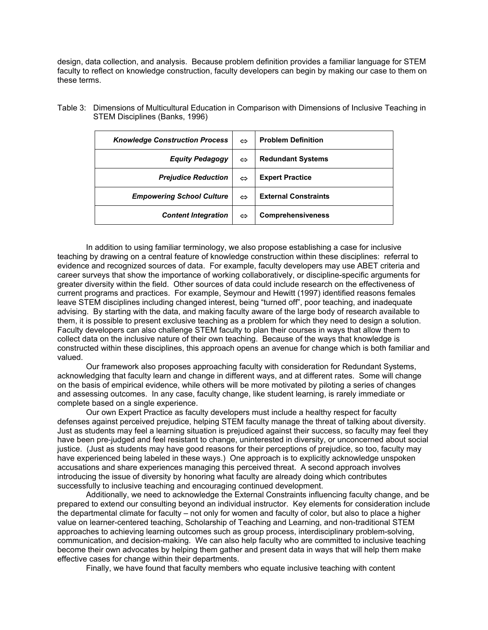design, data collection, and analysis. Because problem definition provides a familiar language for STEM faculty to reflect on knowledge construction, faculty developers can begin by making our case to them on these terms.

| <b>Knowledge Construction Process</b> | $\Leftrightarrow$ | <b>Problem Definition</b>   |
|---------------------------------------|-------------------|-----------------------------|
| <b>Equity Pedagogy</b>                | ⇔                 | <b>Redundant Systems</b>    |
| <b>Prejudice Reduction</b>            | $\Leftrightarrow$ | <b>Expert Practice</b>      |
| <b>Empowering School Culture</b>      | $\Leftrightarrow$ | <b>External Constraints</b> |
| <b>Content Integration</b>            | $\Leftrightarrow$ | <b>Comprehensiveness</b>    |

| Table 3: Dimensions of Multicultural Education in Comparison with Dimensions of Inclusive Teaching in |
|-------------------------------------------------------------------------------------------------------|
| STEM Disciplines (Banks, 1996)                                                                        |

In addition to using familiar terminology, we also propose establishing a case for inclusive teaching by drawing on a central feature of knowledge construction within these disciplines: referral to evidence and recognized sources of data. For example, faculty developers may use ABET criteria and career surveys that show the importance of working collaboratively, or discipline-specific arguments for greater diversity within the field. Other sources of data could include research on the effectiveness of current programs and practices. For example, Seymour and Hewitt (1997) identified reasons females leave STEM disciplines including changed interest, being "turned off", poor teaching, and inadequate advising. By starting with the data, and making faculty aware of the large body of research available to them, it is possible to present exclusive teaching as a problem for which they need to design a solution. Faculty developers can also challenge STEM faculty to plan their courses in ways that allow them to collect data on the inclusive nature of their own teaching. Because of the ways that knowledge is constructed within these disciplines, this approach opens an avenue for change which is both familiar and valued.

Our framework also proposes approaching faculty with consideration for Redundant Systems, acknowledging that faculty learn and change in different ways, and at different rates. Some will change on the basis of empirical evidence, while others will be more motivated by piloting a series of changes and assessing outcomes. In any case, faculty change, like student learning, is rarely immediate or complete based on a single experience.

Our own Expert Practice as faculty developers must include a healthy respect for faculty defenses against perceived prejudice, helping STEM faculty manage the threat of talking about diversity. Just as students may feel a learning situation is prejudiced against their success, so faculty may feel they have been pre-judged and feel resistant to change, uninterested in diversity, or unconcerned about social justice. (Just as students may have good reasons for their perceptions of prejudice, so too, faculty may have experienced being labeled in these ways.) One approach is to explicitly acknowledge unspoken accusations and share experiences managing this perceived threat. A second approach involves introducing the issue of diversity by honoring what faculty are already doing which contributes successfully to inclusive teaching and encouraging continued development.

Additionally, we need to acknowledge the External Constraints influencing faculty change, and be prepared to extend our consulting beyond an individual instructor. Key elements for consideration include the departmental climate for faculty – not only for women and faculty of color, but also to place a higher value on learner-centered teaching, Scholarship of Teaching and Learning, and non-traditional STEM approaches to achieving learning outcomes such as group process, interdisciplinary problem-solving, communication, and decision-making. We can also help faculty who are committed to inclusive teaching become their own advocates by helping them gather and present data in ways that will help them make effective cases for change within their departments.

Finally, we have found that faculty members who equate inclusive teaching with content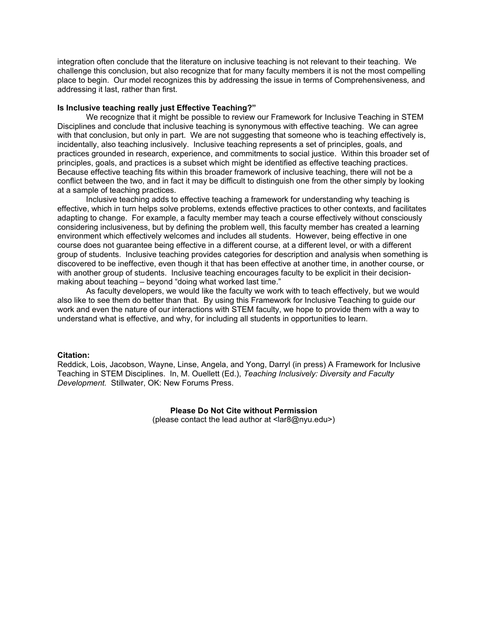integration often conclude that the literature on inclusive teaching is not relevant to their teaching. We challenge this conclusion, but also recognize that for many faculty members it is not the most compelling place to begin. Our model recognizes this by addressing the issue in terms of Comprehensiveness*,* and addressing it last, rather than first.

## **Is Inclusive teaching really just Effective Teaching?"**

We recognize that it might be possible to review our Framework for Inclusive Teaching in STEM Disciplines and conclude that inclusive teaching is synonymous with effective teaching. We can agree with that conclusion, but only in part. We are not suggesting that someone who is teaching effectively is, incidentally, also teaching inclusively. Inclusive teaching represents a set of principles, goals, and practices grounded in research, experience, and commitments to social justice. Within this broader set of principles, goals, and practices is a subset which might be identified as effective teaching practices. Because effective teaching fits within this broader framework of inclusive teaching, there will not be a conflict between the two, and in fact it may be difficult to distinguish one from the other simply by looking at a sample of teaching practices.

Inclusive teaching adds to effective teaching a framework for understanding why teaching is effective, which in turn helps solve problems, extends effective practices to other contexts, and facilitates adapting to change. For example, a faculty member may teach a course effectively without consciously considering inclusiveness, but by defining the problem well, this faculty member has created a learning environment which effectively welcomes and includes all students. However, being effective in one course does not guarantee being effective in a different course, at a different level, or with a different group of students. Inclusive teaching provides categories for description and analysis when something is discovered to be ineffective, even though it that has been effective at another time, in another course, or with another group of students. Inclusive teaching encourages faculty to be explicit in their decisionmaking about teaching – beyond "doing what worked last time."

As faculty developers, we would like the faculty we work with to teach effectively, but we would also like to see them do better than that. By using this Framework for Inclusive Teaching to guide our work and even the nature of our interactions with STEM faculty, we hope to provide them with a way to understand what is effective, and why, for including all students in opportunities to learn.

## **Citation:**

Reddick, Lois, Jacobson, Wayne, Linse, Angela, and Yong, Darryl (in press) A Framework for Inclusive Teaching in STEM Disciplines. In, M. Ouellett (Ed.), *Teaching Inclusively: Diversity and Faculty Development.* Stillwater, OK: New Forums Press.

> **Please Do Not Cite without Permission** (please contact the lead author at <lar8@nyu.edu>)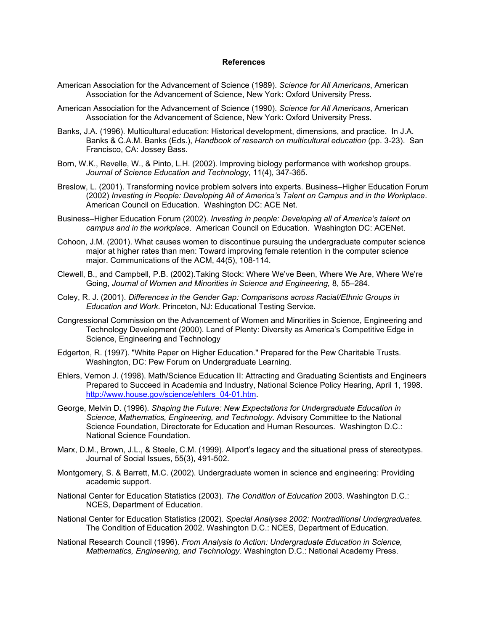## **References**

- American Association for the Advancement of Science (1989). *Science for All Americans*, American Association for the Advancement of Science, New York: Oxford University Press.
- American Association for the Advancement of Science (1990). *Science for All Americans*, American Association for the Advancement of Science, New York: Oxford University Press.
- Banks, J.A. (1996). Multicultural education: Historical development, dimensions, and practice. In J.A. Banks & C.A.M. Banks (Eds.), *Handbook of research on multicultural education* (pp. 3-23). San Francisco, CA: Jossey Bass.
- Born, W.K., Revelle, W., & Pinto, L.H. (2002). Improving biology performance with workshop groups. *Journal of Science Education and Technology*, 11(4), 347-365.
- Breslow, L. (2001). Transforming novice problem solvers into experts. Business–Higher Education Forum (2002) *Investing in People: Developing All of America's Talent on Campus and in the Workplace*. American Council on Education. Washington DC: ACE Net.
- Business–Higher Education Forum (2002). *Investing in people: Developing all of America's talent on campus and in the workplace*. American Council on Education. Washington DC: ACENet.
- Cohoon, J.M. (2001). What causes women to discontinue pursuing the undergraduate computer science major at higher rates than men: Toward improving female retention in the computer science major. Communications of the ACM, 44(5), 108-114.
- Clewell, B., and Campbell, P.B. (2002). Taking Stock: Where We've Been, Where We Are, Where We're Going, *Journal of Women and Minorities in Science and Engineering,* 8, 55–284.
- Coley, R. J. (2001). *Differences in the Gender Gap: Comparisons across Racial/Ethnic Groups in Education and Work*. Princeton, NJ: Educational Testing Service.
- Congressional Commission on the Advancement of Women and Minorities in Science, Engineering and Technology Development (2000). Land of Plenty: Diversity as America's Competitive Edge in Science, Engineering and Technology
- Edgerton, R. (1997). "White Paper on Higher Education." Prepared for the Pew Charitable Trusts. Washington, DC: Pew Forum on Undergraduate Learning.
- Ehlers, Vernon J. (1998). Math/Science Education II: Attracting and Graduating Scientists and Engineers Prepared to Succeed in Academia and Industry, National Science Policy Hearing, April 1, 1998. [http://www.house.gov/science/ehlers\\_04-01.htm](http://www.house.gov/science/ehlers_04-01.htm).
- George, Melvin D. (1996). *Shaping the Future: New Expectations for Undergraduate Education in Science, Mathematics, Engineering, and Technology.* Advisory Committee to the National Science Foundation, Directorate for Education and Human Resources. Washington D.C.: National Science Foundation.
- Marx, D.M., Brown, J.L., & Steele, C.M. (1999). Allport's legacy and the situational press of stereotypes. Journal of Social Issues, 55(3), 491-502.
- Montgomery, S. & Barrett, M.C. (2002). Undergraduate women in science and engineering: Providing academic support.
- National Center for Education Statistics (2003). *The Condition of Education* 2003. Washington D.C.: NCES, Department of Education.
- National Center for Education Statistics (2002). *Special Analyses 2002: Nontraditional Undergraduates.* The Condition of Education 2002. Washington D.C.: NCES, Department of Education.
- National Research Council (1996). *From Analysis to Action: Undergraduate Education in Science, Mathematics, Engineering, and Technology*. Washington D.C.: National Academy Press.